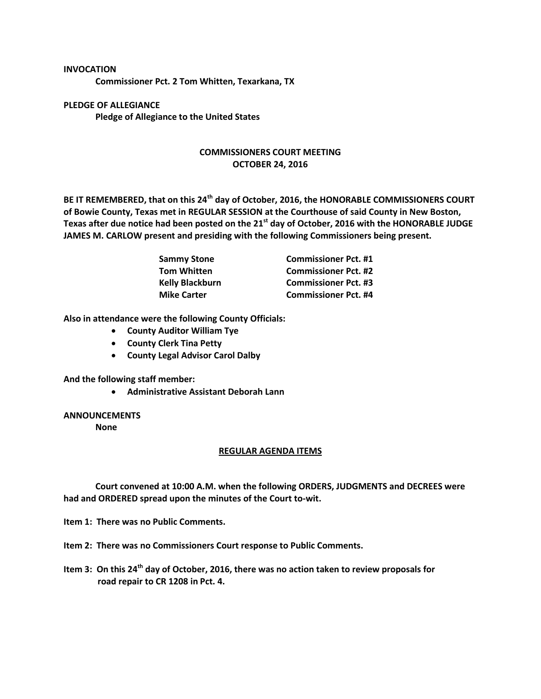## **INVOCATION**

**Commissioner Pct. 2 Tom Whitten, Texarkana, TX**

**PLEDGE OF ALLEGIANCE Pledge of Allegiance to the United States**

## **COMMISSIONERS COURT MEETING OCTOBER 24, 2016**

**BE IT REMEMBERED, that on this 24th day of October, 2016, the HONORABLE COMMISSIONERS COURT of Bowie County, Texas met in REGULAR SESSION at the Courthouse of said County in New Boston, Texas after due notice had been posted on the 21st day of October, 2016 with the HONORABLE JUDGE JAMES M. CARLOW present and presiding with the following Commissioners being present.**

| <b>Sammy Stone</b>     | <b>Commissioner Pct. #1</b> |
|------------------------|-----------------------------|
| <b>Tom Whitten</b>     | <b>Commissioner Pct. #2</b> |
| <b>Kelly Blackburn</b> | <b>Commissioner Pct. #3</b> |
| <b>Mike Carter</b>     | <b>Commissioner Pct. #4</b> |

**Also in attendance were the following County Officials:**

- **County Auditor William Tye**
- **County Clerk Tina Petty**
- **County Legal Advisor Carol Dalby**

**And the following staff member:**

**Administrative Assistant Deborah Lann**

## **ANNOUNCEMENTS**

**None**

## **REGULAR AGENDA ITEMS**

**Court convened at 10:00 A.M. when the following ORDERS, JUDGMENTS and DECREES were had and ORDERED spread upon the minutes of the Court to-wit.**

**Item 1: There was no Public Comments.**

**Item 2: There was no Commissioners Court response to Public Comments.**

**Item 3: On this 24th day of October, 2016, there was no action taken to review proposals for road repair to CR 1208 in Pct. 4.**